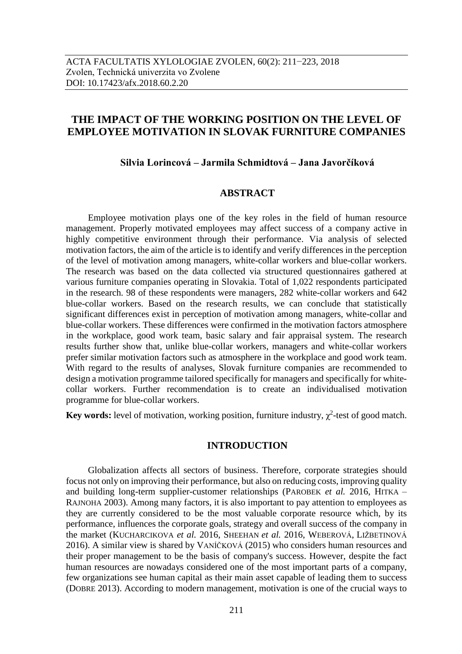# **THE IMPACT OF THE WORKING POSITION ON THE LEVEL OF EMPLOYEE MOTIVATION IN SLOVAK FURNITURE COMPANIES**

### **Silvia Lorincová – Jarmila Schmidtová – Jana Javorčíková**

## **ABSTRACT**

Employee motivation plays one of the key roles in the field of human resource management. Properly motivated employees may affect success of a company active in highly competitive environment through their performance. Via analysis of selected motivation factors, the aim of the article is to identify and verify differences in the perception of the level of motivation among managers, white-collar workers and blue-collar workers. The research was based on the data collected via structured questionnaires gathered at various furniture companies operating in Slovakia. Total of 1,022 respondents participated in the research. 98 of these respondents were managers, 282 white-collar workers and 642 blue-collar workers. Based on the research results, we can conclude that statistically significant differences exist in perception of motivation among managers, white-collar and blue-collar workers. These differences were confirmed in the motivation factors atmosphere in the workplace, good work team, basic salary and fair appraisal system. The research results further show that, unlike blue-collar workers, managers and white-collar workers prefer similar motivation factors such as atmosphere in the workplace and good work team. With regard to the results of analyses, Slovak furniture companies are recommended to design a motivation programme tailored specifically for managers and specifically for whitecollar workers. Further recommendation is to create an individualised motivation programme for blue-collar workers.

**Key words:** level of motivation, working position, furniture industry,  $\chi^2$ -test of good match.

#### **INTRODUCTION**

Globalization affects all sectors of business. Therefore, corporate strategies should focus not only on improving their performance, but also on reducing costs, improving quality and building long-term supplier-customer relationships (PAROBEK *et al.* 2016, HITKA – RAJNOHA 2003). Among many factors, it is also important to pay attention to employees as they are currently considered to be the most valuable corporate resource which, by its performance, influences the corporate goals, strategy and overall success of the company in the market (KUCHARCIKOVA *et al.* 2016, SHEEHAN *et al.* 2016, WEBEROVÁ, LIŽBETINOVÁ 2016). A similar view is shared by VANÍČKOVÁ (2015) who considers human resources and their proper management to be the basis of company's success. However, despite the fact human resources are nowadays considered one of the most important parts of a company, few organizations see human capital as their main asset capable of leading them to success (DOBRE 2013). According to modern management, motivation is one of the crucial ways to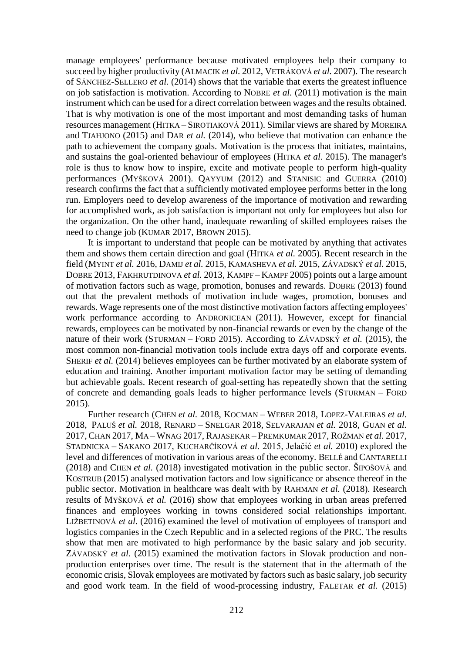manage employees' performance because motivated employees help their company to succeed by higher productivity (ALMACIK *et al.* 2012, VETRÁKOVÁ *et al.* 2007). The research of SÁNCHEZ-SELLERO *et al.* (2014) shows that the variable that exerts the greatest influence on job satisfaction is motivation. According to NOBRE *et al.* (2011) motivation is the main instrument which can be used for a direct correlation between wages and the results obtained. That is why motivation is one of the most important and most demanding tasks of human resources management (HITKA – SIROTIAKOVÁ 2011). Similar views are shared by MOREIRA and TJAHJONO (2015) and DAR *et al.* (2014), who believe that motivation can enhance the path to achievement the company goals. Motivation is the process that initiates, maintains, and sustains the goal-oriented behaviour of employees (HITKA *et al.* 2015). The manager's role is thus to know how to inspire, excite and motivate people to perform high-quality performances (MYŠKOVÁ 2001). QAYYUM (2012) and STANISIC and GUERRA (2010) research confirms the fact that a sufficiently motivated employee performs better in the long run. Employers need to develop awareness of the importance of motivation and rewarding for accomplished work, as job satisfaction is important not only for employees but also for the organization. On the other hand, inadequate rewarding of skilled employees raises the need to change job (KUMAR 2017, BROWN 2015).

It is important to understand that people can be motivated by anything that activates them and shows them certain direction and goal (HITKA *et al.* 2005). Recent research in the field (MYINT *et al.* 2016, DAMIJ *et al.* 2015, KAMASHEVA *et al.* 2015, ZÁVADSKÝ *et al.* 2015, DOBRE 2013, FAKHRUTDINOVA *et al.* 2013, KAMPF – KAMPF 2005) points out a large amount of motivation factors such as wage, promotion, bonuses and rewards. DOBRE (2013) found out that the prevalent methods of motivation include wages, promotion, bonuses and rewards. Wage represents one of the most distinctive motivation factors affecting employees' work performance according to ANDRONICEAN (2011). However, except for financial rewards, employees can be motivated by non-financial rewards or even by the change of the nature of their work (STURMAN – FORD 2015). According to ZÁVADSKÝ *et al.* (2015), the most common non-financial motivation tools include extra days off and corporate events. SHERIF *et al.* (2014) believes employees can be further motivated by an elaborate system of education and training. Another important motivation factor may be setting of demanding but achievable goals. Recent research of goal-setting has repeatedly shown that the setting of concrete and demanding goals leads to higher performance levels (STURMAN – FORD 2015).

Further research (CHEN *et al.* 2018, KOCMAN – WEBER 2018, LOPEZ-VALEIRAS *et al.*  2018, PALUŠ *et al.* 2018, RENARD – SNELGAR 2018, SELVARAJAN *et al.* 2018, GUAN *et al.*  2017, CHAN 2017, MA – WNAG 2017, RAJASEKAR – PREMKUMAR 2017, ROŽMAN *et al.* 2017, STADNICKA – SAKANO 2017, KUCHARČÍKOVÁ *et al.* 2015, Jelačić *et al.* 2010) explored the level and differences of motivation in various areas of the economy. BELLÉ and CANTARELLI (2018) and CHEN *et al.* (2018) investigated motivation in the public sector. ŠIPOŠOVÁ and KOSTRUB (2015) analysed motivation factors and low significance or absence thereof in the public sector. Motivation in healthcare was dealt with by RAHMAN *et al.* (2018). Research results of MYŠKOVÁ *et al.* (2016) show that employees working in urban areas preferred finances and employees working in towns considered social relationships important. LIŽBETINOVÁ *et al.* (2016) examined the level of motivation of employees of transport and logistics companies in the Czech Republic and in a selected regions of the PRC. The results show that men are motivated to high performance by the basic salary and job security. ZÁVADSKÝ *et al.* (2015) examined the motivation factors in Slovak production and nonproduction enterprises over time. The result is the statement that in the aftermath of the economic crisis, Slovak employees are motivated by factors such as basic salary, job security and good work team. In the field of wood-processing industry, FALETAR *et al.* (2015)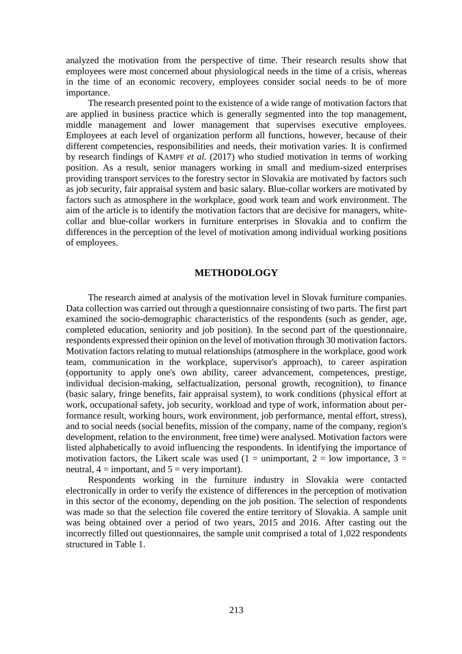analyzed the motivation from the perspective of time. Their research results show that employees were most concerned about physiological needs in the time of a crisis, whereas in the time of an economic recovery, employees consider social needs to be of more importance.

The research presented point to the existence of a wide range of motivation factors that are applied in business practice which is generally segmented into the top management, middle management and lower management that supervises executive employees. Employees at each level of organization perform all functions, however, because of their different competencies, responsibilities and needs, their motivation varies. It is confirmed by research findings of KAMPF *et al.* (2017) who studied motivation in terms of working position. As a result, senior managers working in small and medium-sized enterprises providing transport services to the forestry sector in Slovakia are motivated by factors such as job security, fair appraisal system and basic salary. Blue-collar workers are motivated by factors such as atmosphere in the workplace, good work team and work environment. The aim of the article is to identify the motivation factors that are decisive for managers, whitecollar and blue-collar workers in furniture enterprises in Slovakia and to confirm the differences in the perception of the level of motivation among individual working positions of employees.

#### **METHODOLOGY**

The research aimed at analysis of the motivation level in Slovak furniture companies. Data collection was carried out through a questionnaire consisting of two parts. The first part examined the socio-demographic characteristics of the respondents (such as gender, age, completed education, seniority and job position). In the second part of the questionnaire, respondents expressed their opinion on the level of motivation through 30 motivation factors. Motivation factors relating to mutual relationships (atmosphere in the workplace, good work team, communication in the workplace, supervisor's approach), to career aspiration (opportunity to apply one's own ability, career advancement, competences, prestige, individual decision-making, selfactualization, personal growth, recognition), to finance (basic salary, fringe benefits, fair appraisal system), to work conditions (physical effort at work, occupational safety, job security, workload and type of work, information about performance result, working hours, work environment, job performance, mental effort, stress), and to social needs (social benefits, mission of the company, name of the company, region's development, relation to the environment, free time) were analysed. Motivation factors were listed alphabetically to avoid influencing the respondents. In identifying the importance of motivation factors, the Likert scale was used (1 = unimportant, 2 = low importance, 3 = neutral,  $4 =$  important, and  $5 =$  very important).

Respondents working in the furniture industry in Slovakia were contacted electronically in order to verify the existence of differences in the perception of motivation in this sector of the economy, depending on the job position. The selection of respondents was made so that the selection file covered the entire territory of Slovakia. A sample unit was being obtained over a period of two years, 2015 and 2016. After casting out the incorrectly filled out questionnaires, the sample unit comprised a total of 1,022 respondents structured in Table 1.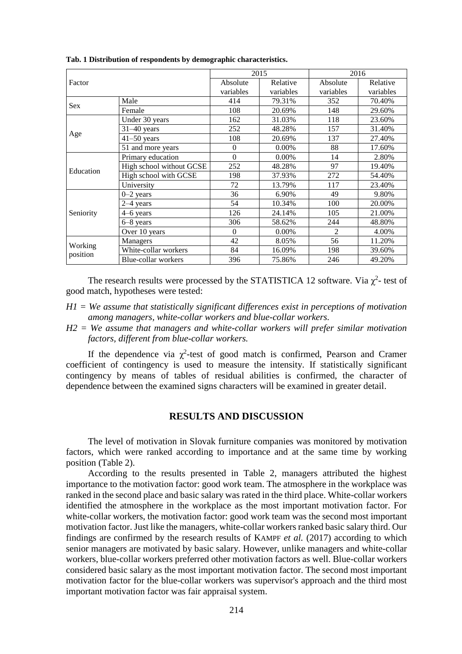| Factor              |                          |           | 2015      | 2016      |           |  |
|---------------------|--------------------------|-----------|-----------|-----------|-----------|--|
|                     |                          | Absolute  | Relative  | Absolute  | Relative  |  |
|                     |                          | variables | variables | variables | variables |  |
| <b>Sex</b>          | Male                     | 414       | 79.31%    | 352       | 70.40%    |  |
|                     | Female                   | 108       | 20.69%    | 148       | 29.60%    |  |
|                     | Under 30 years           | 162       | 31.03%    | 118       | 23.60%    |  |
|                     | $31-40$ years            | 252       | 48.28%    | 157       | 31.40%    |  |
| Age                 | $41 - 50$ years          | 108       | 20.69%    | 137       | 27.40%    |  |
|                     | 51 and more years        | $\Omega$  | $0.00\%$  | 88        | 17.60%    |  |
|                     | Primary education        | $\Omega$  | 0.00%     | 14        | 2.80%     |  |
| Education           | High school without GCSE | 252       | 48.28%    | 97        | 19.40%    |  |
|                     | High school with GCSE    | 198       | 37.93%    | 272       | 54.40%    |  |
|                     | University               | 72        | 13.79%    | 117       | 23.40%    |  |
|                     | $0 - 2$ years            | 36        | 6.90%     | 49        | 9.80%     |  |
|                     | $2-4$ years              | 54        | 10.34%    | 100       | 20.00%    |  |
| Seniority           | 4–6 years                | 126       | 24.14%    | 105       | 21.00%    |  |
|                     | 6-8 years                | 306       | 58.62%    | 244       | 48.80%    |  |
|                     | Over 10 years            | $\Omega$  | $0.00\%$  | 2         | 4.00%     |  |
| Working<br>position | Managers                 | 42        | 8.05%     | 56        | 11.20%    |  |
|                     | White-collar workers     | 84        | 16.09%    | 198       | 39.60%    |  |
|                     | Blue-collar workers      | 396       | 75.86%    | 246       | 49.20%    |  |

**Tab. 1 Distribution of respondents by demographic characteristics.**

The research results were processed by the STATISTICA 12 software. Via  $\chi^2$ - test of good match, hypotheses were tested:

- *H1 = We assume that statistically significant differences exist in perceptions of motivation among managers, white-collar workers and blue-collar workers.*
- *H2 = We assume that managers and white-collar workers will prefer similar motivation factors, different from blue-collar workers.*

If the dependence via  $\chi^2$ -test of good match is confirmed, Pearson and Cramer coefficient of contingency is used to measure the intensity. If statistically significant contingency by means of tables of residual abilities is confirmed, the character of dependence between the examined signs characters will be examined in greater detail.

#### **RESULTS AND DISCUSSION**

The level of motivation in Slovak furniture companies was monitored by motivation factors, which were ranked according to importance and at the same time by working position (Table 2).

According to the results presented in Table 2, managers attributed the highest importance to the motivation factor: good work team. The atmosphere in the workplace was ranked in the second place and basic salary was rated in the third place. White-collar workers identified the atmosphere in the workplace as the most important motivation factor. For white-collar workers, the motivation factor: good work team was the second most important motivation factor. Just like the managers, white-collar workers ranked basic salary third. Our findings are confirmed by the research results of KAMPF *et al.* (2017) according to which senior managers are motivated by basic salary. However, unlike managers and white-collar workers, blue-collar workers preferred other motivation factors as well. Blue-collar workers considered basic salary as the most important motivation factor. The second most important motivation factor for the blue-collar workers was supervisor's approach and the third most important motivation factor was fair appraisal system.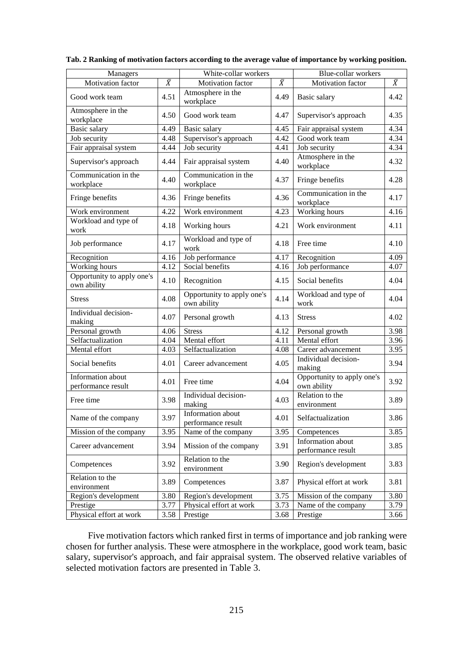| Managers                                  |           | White-collar workers                      |           | Blue-collar workers                       |           |  |
|-------------------------------------------|-----------|-------------------------------------------|-----------|-------------------------------------------|-----------|--|
| Motivation factor                         | $\bar{X}$ | Motivation factor                         | $\bar{X}$ | Motivation factor                         | $\bar{X}$ |  |
| Good work team                            | 4.51      | Atmosphere in the<br>workplace            | 4.49      | Basic salary                              | 4.42      |  |
| Atmosphere in the<br>workplace            | 4.50      | Good work team                            | 4.47      | Supervisor's approach                     | 4.35      |  |
| Basic salary                              | 4.49      | Basic salary                              | 4.45      | Fair appraisal system                     | 4.34      |  |
| Job security                              | 4.48      | Supervisor's approach                     | 4.42      | Good work team                            | 4.34      |  |
| Fair appraisal system                     | 4.44      | Job security                              | 4.41      | Job security                              | 4.34      |  |
| Supervisor's approach                     | 4.44      | Fair appraisal system                     | 4.40      | Atmosphere in the<br>workplace            | 4.32      |  |
| Communication in the<br>workplace         | 4.40      | Communication in the<br>workplace         | 4.37      | Fringe benefits                           | 4.28      |  |
| Fringe benefits                           | 4.36      | Fringe benefits                           | 4.36      | Communication in the<br>workplace         | 4.17      |  |
| Work environment                          | 4.22      | Work environment                          | 4.23      | Working hours                             | 4.16      |  |
| Workload and type of<br>work              | 4.18      | Working hours                             | 4.21      | Work environment                          | 4.11      |  |
| Job performance                           | 4.17      | Workload and type of<br>work              | 4.18      | Free time                                 | 4.10      |  |
| Recognition                               | 4.16      | Job performance                           | 4.17      | Recognition                               | 4.09      |  |
| Working hours                             | 4.12      | Social benefits                           | 4.16      | Job performance                           | 4.07      |  |
| Opportunity to apply one's<br>own ability | 4.10      | Recognition                               | 4.15      | Social benefits                           | 4.04      |  |
| <b>Stress</b>                             | 4.08      | Opportunity to apply one's<br>own ability | 4.14      | Workload and type of<br>work              | 4.04      |  |
| Individual decision-<br>making            | 4.07      | Personal growth                           | 4.13      | <b>Stress</b>                             | 4.02      |  |
| Personal growth                           | 4.06      | <b>Stress</b>                             | 4.12      | Personal growth                           | 3.98      |  |
| Selfactualization                         | 4.04      | Mental effort                             | 4.11      | Mental effort                             | 3.96      |  |
| Mental effort                             | 4.03      | Selfactualization                         | 4.08      | Career advancement                        | 3.95      |  |
| Social benefits                           | 4.01      | Career advancement                        | 4.05      | Individual decision-<br>making            | 3.94      |  |
| Information about<br>performance result   | 4.01      | Free time                                 | 4.04      | Opportunity to apply one's<br>own ability | 3.92      |  |
| Free time                                 | 3.98      | Individual decision-<br>making            | 4.03      | Relation to the<br>environment            | 3.89      |  |
| Name of the company                       | 3.97      | Information about<br>performance result   | 4.01      | Selfactualization                         | 3.86      |  |
| Mission of the company                    | 3.95      | Name of the company                       | 3.95      | Competences                               | 3.85      |  |
| Career advancement                        | 3.94      | Mission of the company                    | 3.91      | Information about<br>performance result   | 3.85      |  |
| Competences                               | 3.92      | Relation to the<br>environment            | 3.90      | Region's development                      | 3.83      |  |
| Relation to the                           |           |                                           |           |                                           |           |  |
| environment                               | 3.89      | Competences                               | 3.87      | Physical effort at work                   | 3.81      |  |
| Region's development                      | 3.80      | Region's development                      | 3.75      | Mission of the company                    | 3.80      |  |
| Prestige                                  | 3.77      | Physical effort at work                   | 3.73      | Name of the company                       | 3.79      |  |
| Physical effort at work                   | 3.58      | Prestige                                  | 3.68      | Prestige                                  | 3.66      |  |

Five motivation factors which ranked first in terms of importance and job ranking were chosen for further analysis. These were atmosphere in the workplace, good work team, basic salary, supervisor's approach, and fair appraisal system. The observed relative variables of selected motivation factors are presented in Table 3.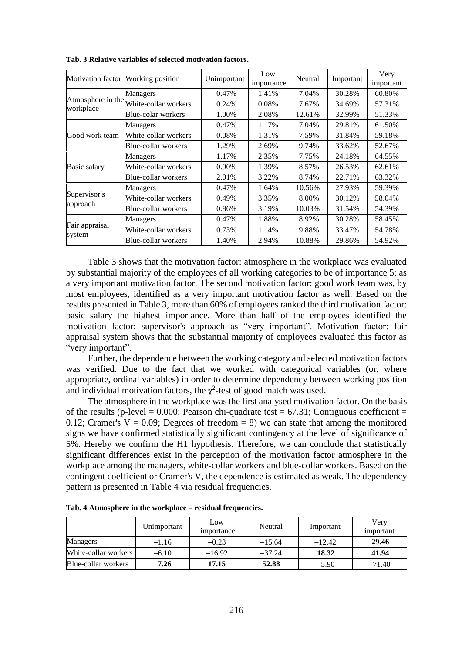| Motivation factor Working position |                                        | Unimportant | Low<br>importance | Neutral | Important | Very<br>important |
|------------------------------------|----------------------------------------|-------------|-------------------|---------|-----------|-------------------|
|                                    | Managers                               | 0.47%       | 1.41%             | 7.04%   | 30.28%    | 60.80%            |
| workplace                          | Atmosphere in the White-collar workers | 0.24%       | 0.08%             | 7.67%   | 34.69%    | 57.31%            |
|                                    | Blue-colar workers                     | 1.00%       | 2.08%             | 12.61%  | 32.99%    | 51.33%            |
|                                    | <b>Managers</b>                        | 0.47%       | 1.17%             | 7.04%   | 29.81%    | 61.50%            |
| Good work team                     | White-collar workers                   | 0.08%       | 1.31%             | 7.59%   | 31.84%    | 59.18%            |
|                                    | Blue-collar workers                    | 1.29%       | 2.69%             | 9.74%   | 33.62%    | 52.67%            |
|                                    | Managers                               | 1.17%       | 2.35%             | 7.75%   | 24.18%    | 64.55%            |
| Basic salary                       | White-collar workers                   | 0.90%       | 1.39%             | 8.57%   | 26.53%    | 62.61%            |
|                                    | Blue-collar workers                    | 2.01%       | 3.22%             | 8.74%   | 22.71%    | 63.32%            |
| Supervisor's<br>approach           | Managers                               | 0.47%       | 1.64%             | 10.56%  | 27.93%    | 59.39%            |
|                                    | White-collar workers                   | 0.49%       | 3.35%             | 8.00%   | 30.12%    | 58.04%            |
|                                    | Blue-collar workers                    | 0.86%       | 3.19%             | 10.03%  | 31.54%    | 54.39%            |
| Fair appraisal<br>system           | Managers                               | 0.47%       | 1.88%             | 8.92%   | 30.28%    | 58.45%            |
|                                    | White-collar workers                   | 0.73%       | 1.14%             | 9.88%   | 33.47%    | 54.78%            |
|                                    | Blue-collar workers                    | 1.40%       | 2.94%             | 10.88%  | 29.86%    | 54.92%            |

**Tab. 3 Relative variables of selected motivation factors.**

Table 3 shows that the motivation factor: atmosphere in the workplace was evaluated by substantial majority of the employees of all working categories to be of importance 5; as a very important motivation factor. The second motivation factor: good work team was, by most employees, identified as a very important motivation factor as well. Based on the results presented in Table 3, more than 60% of employees ranked the third motivation factor: basic salary the highest importance. More than half of the employees identified the motivation factor: supervisor's approach as "very important". Motivation factor: fair appraisal system shows that the substantial majority of employees evaluated this factor as "very important".

Further, the dependence between the working category and selected motivation factors was verified. Due to the fact that we worked with categorical variables (or, where appropriate, ordinal variables) in order to determine dependency between working position and individual motivation factors, the  $\chi^2$ -test of good match was used.

The atmosphere in the workplace was the first analysed motivation factor. On the basis of the results (p-level = 0.000; Pearson chi-quadrate test =  $67.31$ ; Contiguous coefficient = 0.12; Cramer's  $V = 0.09$ ; Degrees of freedom = 8) we can state that among the monitored signs we have confirmed statistically significant contingency at the level of significance of 5%. Hereby we confirm the H1 hypothesis. Therefore, we can conclude that statistically significant differences exist in the perception of the motivation factor atmosphere in the workplace among the managers, white-collar workers and blue-collar workers. Based on the contingent coefficient or Cramer's V, the dependence is estimated as weak. The dependency pattern is presented in Table 4 via residual frequencies.

|                            | Unimportant | Low<br><i>importance</i> | Neutral  | Important | Very<br>important |
|----------------------------|-------------|--------------------------|----------|-----------|-------------------|
| Managers                   | $-1.16$     | $-0.23$                  | $-15.64$ | $-12.42$  | 29.46             |
| White-collar workers       | $-6.10$     | $-16.92$                 | $-37.24$ | 18.32     | 41.94             |
| <b>Blue-collar workers</b> | 7.26        | 17.15                    | 52.88    | $-5.90$   | $-71.40$          |

**Tab. 4 Atmosphere in the workplace – residual frequencies.**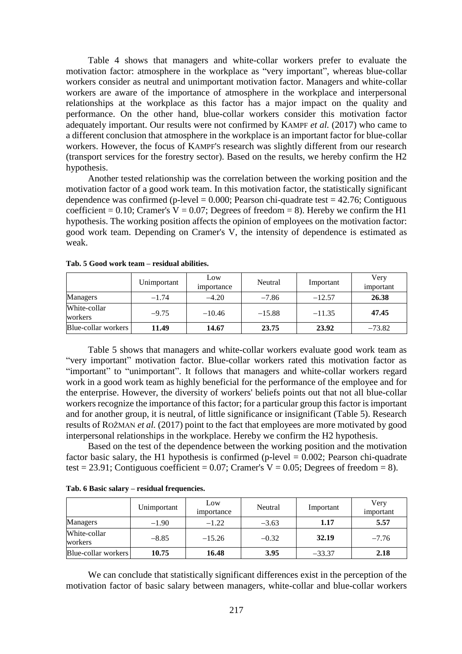Table 4 shows that managers and white-collar workers prefer to evaluate the motivation factor: atmosphere in the workplace as "very important", whereas blue-collar workers consider as neutral and unimportant motivation factor. Managers and white-collar workers are aware of the importance of atmosphere in the workplace and interpersonal relationships at the workplace as this factor has a major impact on the quality and performance. On the other hand, blue-collar workers consider this motivation factor adequately important. Our results were not confirmed by KAMPF *et al.* (2017) who came to a different conclusion that atmosphere in the workplace is an important factor for blue-collar workers. However, the focus of KAMPF'S research was slightly different from our research (transport services for the forestry sector). Based on the results, we hereby confirm the H2 hypothesis.

Another tested relationship was the correlation between the working position and the motivation factor of a good work team. In this motivation factor, the statistically significant dependence was confirmed (p-level  $= 0.000$ ; Pearson chi-quadrate test  $= 42.76$ ; Contiguous coefficient = 0.10; Cramer's  $V = 0.07$ ; Degrees of freedom = 8). Hereby we confirm the H1 hypothesis. The working position affects the opinion of employees on the motivation factor: good work team. Depending on Cramer's V, the intensity of dependence is estimated as weak.

|                         | Unimportant | Low<br>importance | Neutral  | Important | Very<br>important |
|-------------------------|-------------|-------------------|----------|-----------|-------------------|
| Managers                | $-1.74$     | $-4.20$           | $-7.86$  | $-12.57$  | 26.38             |
| White-collar<br>workers | $-9.75$     | $-10.46$          | $-15.88$ | $-11.35$  | 47.45             |
| Blue-collar workers     | 11.49       | 14.67             | 23.75    | 23.92     | $-73.82$          |

**Tab. 5 Good work team – residual abilities.**

Table 5 shows that managers and white-collar workers evaluate good work team as "very important" motivation factor. Blue-collar workers rated this motivation factor as "important" to "unimportant". It follows that managers and white-collar workers regard work in a good work team as highly beneficial for the performance of the employee and for the enterprise. However, the diversity of workers' beliefs points out that not all blue-collar workers recognize the importance of this factor; for a particular group this factor is important and for another group, it is neutral, of little significance or insignificant (Table 5). Research results of ROŽMAN *et al.* (2017) point to the fact that employees are more motivated by good interpersonal relationships in the workplace. Hereby we confirm the H2 hypothesis.

Based on the test of the dependence between the working position and the motivation factor basic salary, the H1 hypothesis is confirmed (p-level  $= 0.002$ ; Pearson chi-quadrate test = 23.91; Contiguous coefficient = 0.07; Cramer's  $V = 0.05$ ; Degrees of freedom = 8).

|                         | Unimportant | Low<br>importance | Neutral | Important | Very<br>important |
|-------------------------|-------------|-------------------|---------|-----------|-------------------|
| Managers                | $-1.90$     | $-1.22$           | $-3.63$ | 1.17      | 5.57              |
| White-collar<br>workers | $-8.85$     | $-15.26$          | $-0.32$ | 32.19     | $-7.76$           |
| Blue-collar workers     | 10.75       | 16.48             | 3.95    | $-33.37$  | 2.18              |

**Tab. 6 Basic salary – residual frequencies.**

We can conclude that statistically significant differences exist in the perception of the motivation factor of basic salary between managers, white-collar and blue-collar workers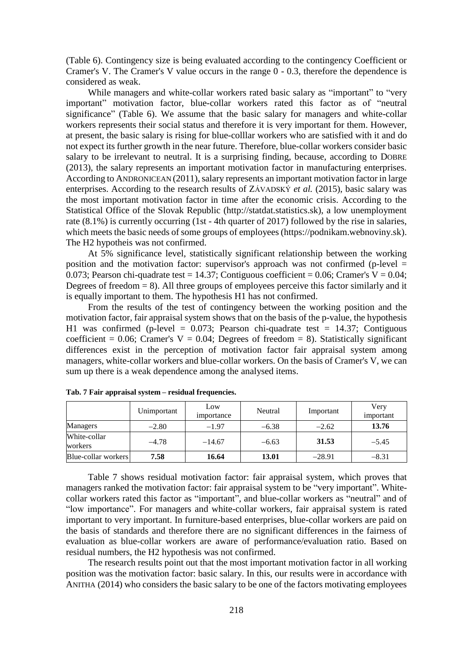(Table 6). Contingency size is being evaluated according to the contingency Coefficient or Cramer's V. The Cramer's V value occurs in the range 0 - 0.3, therefore the dependence is considered as weak.

While managers and white-collar workers rated basic salary as "important" to "very important" motivation factor, blue-collar workers rated this factor as of "neutral significance" (Table 6). We assume that the basic salary for managers and white-collar workers represents their social status and therefore it is very important for them. However, at present, the basic salary is rising for blue-colllar workers who are satisfied with it and do not expect its further growth in the near future. Therefore, blue-collar workers consider basic salary to be irrelevant to neutral. It is a surprising finding, because, according to DOBRE (2013), the salary represents an important motivation factor in manufacturing enterprises. According to ANDRONICEAN (2011), salary represents an important motivation factor in large enterprises. According to the research results of ZÁVADSKÝ *et al.* (2015), basic salary was the most important motivation factor in time after the economic crisis. According to the Statistical Office of the Slovak Republic (http://statdat.statistics.sk), a low unemployment rate (8.1%) is currently occurring (1st - 4th quarter of 2017) followed by the rise in salaries, which meets the basic needs of some groups of employees (https://podnikam.webnoviny.sk). The H2 hypotheis was not confirmed.

At 5% significance level, statistically significant relationship between the working position and the motivation factor: supervisor's approach was not confirmed (p-level = 0.073; Pearson chi-quadrate test = 14.37; Contiguous coefficient = 0.06; Cramer's  $V = 0.04$ ; Degrees of freedom  $= 8$ ). All three groups of employees perceive this factor similarly and it is equally important to them. The hypothesis H1 has not confirmed.

From the results of the test of contingency between the working position and the motivation factor, fair appraisal system shows that on the basis of the p-value, the hypothesis H1 was confirmed (p-level =  $0.073$ ; Pearson chi-quadrate test = 14.37; Contiguous coefficient = 0.06; Cramer's  $V = 0.04$ ; Degrees of freedom = 8). Statistically significant differences exist in the perception of motivation factor fair appraisal system among managers, white-collar workers and blue-collar workers. On the basis of Cramer's V, we can sum up there is a weak dependence among the analysed items.

|                         | Unimportant | Low<br>importance | Neutral | Important | Very<br>important |
|-------------------------|-------------|-------------------|---------|-----------|-------------------|
| Managers                | $-2.80$     | $-1.97$           | $-6.38$ | $-2.62$   | 13.76             |
| White-collar<br>workers | $-4.78$     | $-14.67$          | $-6.63$ | 31.53     | $-5.45$           |
| Blue-collar workers     | 7.58        | 16.64             | 13.01   | $-28.91$  | $-8.31$           |

**Tab. 7 Fair appraisal system – residual frequencies.**

Table 7 shows residual motivation factor: fair appraisal system, which proves that managers ranked the motivation factor: fair appraisal system to be "very important". Whitecollar workers rated this factor as "important", and blue-collar workers as "neutral" and of "low importance". For managers and white-collar workers, fair appraisal system is rated important to very important. In furniture-based enterprises, blue-collar workers are paid on the basis of standards and therefore there are no significant differences in the fairness of evaluation as blue-collar workers are aware of performance/evaluation ratio. Based on residual numbers, the H2 hypothesis was not confirmed.

The research results point out that the most important motivation factor in all working position was the motivation factor: basic salary. In this, our results were in accordance with ANITHA (2014) who considers the basic salary to be one of the factors motivating employees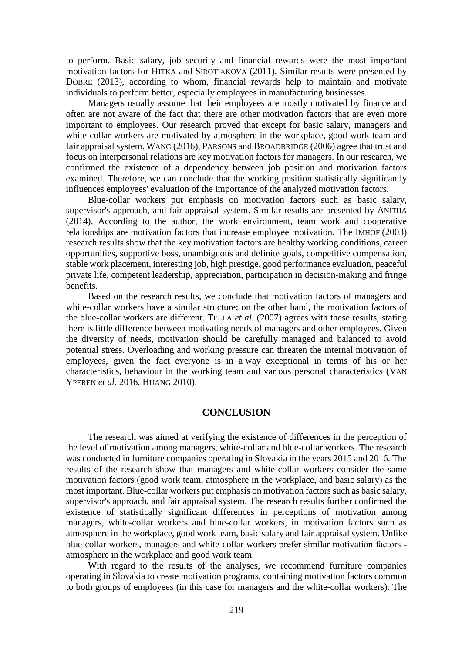to perform. Basic salary, job security and financial rewards were the most important motivation factors for HITKA and SIROTIAKOVÁ (2011). Similar results were presented by DOBRE (2013), according to whom, financial rewards help to maintain and motivate individuals to perform better, especially employees in manufacturing businesses.

Managers usually assume that their employees are mostly motivated by finance and often are not aware of the fact that there are other motivation factors that are even more important to employees. Our research proved that except for basic salary, managers and white-collar workers are motivated by atmosphere in the workplace, good work team and fair appraisal system. WANG (2016), PARSONS and BROADBRIDGE (2006) agree that trust and focus on interpersonal relations are key motivation factors for managers. In our research, we confirmed the existence of a dependency between job position and motivation factors examined. Therefore, we can conclude that the working position statistically significantly influences employees' evaluation of the importance of the analyzed motivation factors.

Blue-collar workers put emphasis on motivation factors such as basic salary, supervisor's approach, and fair appraisal system. Similar results are presented by ANITHA (2014). According to the author, the work environment, team work and cooperative relationships are motivation factors that increase employee motivation. The IMHOF (2003) research results show that the key motivation factors are healthy working conditions, career opportunities, supportive boss, unambiguous and definite goals, competitive compensation, stable work placement, interesting job, high prestige, good performance evaluation, peaceful private life, competent leadership, appreciation, participation in decision-making and fringe benefits.

Based on the research results, we conclude that motivation factors of managers and white-collar workers have a similar structure; on the other hand, the motivation factors of the blue-collar workers are different. TELLA *et al.* (2007) agrees with these results, stating there is little difference between motivating needs of managers and other employees. Given the diversity of needs, motivation should be carefully managed and balanced to avoid potential stress. Overloading and working pressure can threaten the internal motivation of employees, given the fact everyone is in a way exceptional in terms of his or her characteristics, behaviour in the working team and various personal characteristics (VAN YPEREN *et al.* 2016, HUANG 2010).

#### **CONCLUSION**

The research was aimed at verifying the existence of differences in the perception of the level of motivation among managers, white-collar and blue-collar workers. The research was conducted in furniture companies operating in Slovakia in the years 2015 and 2016. The results of the research show that managers and white-collar workers consider the same motivation factors (good work team, atmosphere in the workplace, and basic salary) as the most important. Blue-collar workers put emphasis on motivation factors such as basic salary, supervisor's approach, and fair appraisal system. The research results further confirmed the existence of statistically significant differences in perceptions of motivation among managers, white-collar workers and blue-collar workers, in motivation factors such as atmosphere in the workplace, good work team, basic salary and fair appraisal system. Unlike blue-collar workers, managers and white-collar workers prefer similar motivation factors atmosphere in the workplace and good work team.

With regard to the results of the analyses, we recommend furniture companies operating in Slovakia to create motivation programs, containing motivation factors common to both groups of employees (in this case for managers and the white-collar workers). The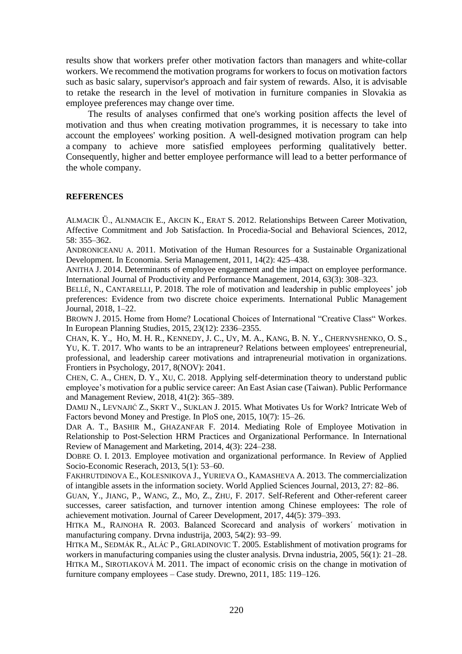results show that workers prefer other motivation factors than managers and white-collar workers. We recommend the motivation programs for workers to focus on motivation factors such as basic salary, supervisor's approach and fair system of rewards. Also, it is advisable to retake the research in the level of motivation in furniture companies in Slovakia as employee preferences may change over time.

The results of analyses confirmed that one's working position affects the level of motivation and thus when creating motivation programmes, it is necessary to take into account the employees' working position. A well-designed motivation program can help a company to achieve more satisfied employees performing qualitatively better. Consequently, higher and better employee performance will lead to a better performance of the whole company.

#### **REFERENCES**

ALMACIK Ü., ALNMACIK E., AKCIN K., ERAT S. 2012. Relationships Between Career Motivation, Affective Commitment and Job Satisfaction. In Procedia-Social and Behavioral Sciences, 2012, 58: 355–362.

ANDRONICEANU A. 2011. Motivation of the Human Resources for a Sustainable Organizational Development. In Economia. Seria Management, 2011, 14(2): 425–438.

ANITHA J. 2014. Determinants of employee engagement and the impact on employee performance. International Journal of Productivity and Performance Management, 2014, 63(3): 308–323.

BELLÉ, N., CANTARELLI, P. 2018. The role of motivation and leadership in public employees' job preferences: Evidence from two discrete choice experiments. International Public Management Journal, 2018, 1–22.

BROWN J. 2015. Home from Home? Locational Choices of International "Creative Class" Workes. In European Planning Studies, 2015, 23(12): 2336–2355.

CHAN, K. Y., HO, M. H. R., KENNEDY, J. C., UY, M. A., KANG, B. N. Y., CHERNYSHENKO, O. S., YU, K. T. 2017. Who wants to be an intrapreneur? Relations between employees' entrepreneurial, professional, and leadership career motivations and intrapreneurial motivation in organizations. Frontiers in Psychology, 2017, 8(NOV): 2041.

CHEN, C. A., CHEN, D. Y., XU, C. 2018. Applying self-determination theory to understand public employee's motivation for a public service career: An East Asian case (Taiwan). Public Performance and Management Review, 2018, 41(2): 365–389.

DAMIJ N., LEVNAJIĆ Z., SKRT V., SUKLAN J. 2015. What Motivates Us for Work? Intricate Web of Factors bevond Money and Prestige. In PloS one, 2015, 10(7): 15–26.

DAR A. T., BASHIR M., GHAZANFAR F. 2014. Mediating Role of Employee Motivation in Relationship to Post-Selection HRM Practices and Organizational Performance. In International Review of Management and Marketing, 2014, 4(3): 224–238.

DOBRE O. I. 2013. Employee motivation and organizational performance. In Review of Applied Socio-Economic Reserach, 2013, 5(1): 53–60.

FAKHRUTDINOVA E., KOLESNIKOVA J., YURIEVA O., KAMASHEVA A. 2013. The commercialization of intangible assets in the information society. World Applied Sciences Journal, 2013, 27: 82–86.

GUAN, Y., J[IANG](https://www.scopus.com/authid/detail.uri?origin=resultslist&authorId=56373025900&zone=), P., W[ANG](https://www.scopus.com/authid/detail.uri?origin=resultslist&authorId=55836905200&zone=), Z., MO, [Z.,](https://www.scopus.com/authid/detail.uri?origin=resultslist&authorId=56606754200&zone=) Z[HU](https://www.scopus.com/authid/detail.uri?origin=resultslist&authorId=56245327100&zone=), F. 2017. [Self-Referent and Other-referent career](https://www.scopus.com/record/display.uri?eid=2-s2.0-85028648306&origin=resultslist&sort=plf-f&src=s&st1=employee+motivation&nlo=&nlr=&nls=&sid=81cde3c0a8752a8445493f754c83a401&sot=b&sdt=b&sl=26&s=TITLE%28employee+motivation%29&relpos=27&citeCnt=0&searchTerm=)  [successes, career satisfaction, and turnover intention among Chinese employees: The role of](https://www.scopus.com/record/display.uri?eid=2-s2.0-85028648306&origin=resultslist&sort=plf-f&src=s&st1=employee+motivation&nlo=&nlr=&nls=&sid=81cde3c0a8752a8445493f754c83a401&sot=b&sdt=b&sl=26&s=TITLE%28employee+motivation%29&relpos=27&citeCnt=0&searchTerm=)  [achievement motivation.](https://www.scopus.com/record/display.uri?eid=2-s2.0-85028648306&origin=resultslist&sort=plf-f&src=s&st1=employee+motivation&nlo=&nlr=&nls=&sid=81cde3c0a8752a8445493f754c83a401&sot=b&sdt=b&sl=26&s=TITLE%28employee+motivation%29&relpos=27&citeCnt=0&searchTerm=) Jou[rnal of Career Development,](https://www.scopus.com/sourceid/14420?origin=resultslist) 2017, 44(5): 379–393.

HITKA M., RAJNOHA R. 2003. Balanced Scorecard and analysis of workers´ motivation in manufacturing company. Drvna industrija, 2003, 54(2): 93–99.

HITKA M., SEDMÁK R., ALÁC P., GRLADINOVIC T. 2005. Establishment of motivation programs for workers in manufacturing companies using the cluster analysis. Drvna industria, 2005, 56(1): 21–28. HITKA M., SIROTIAKOVÁ M. 2011. The impact of economic crisis on the change in motivation of furniture company employees – Case study. Drewno, 2011, 185: 119–126.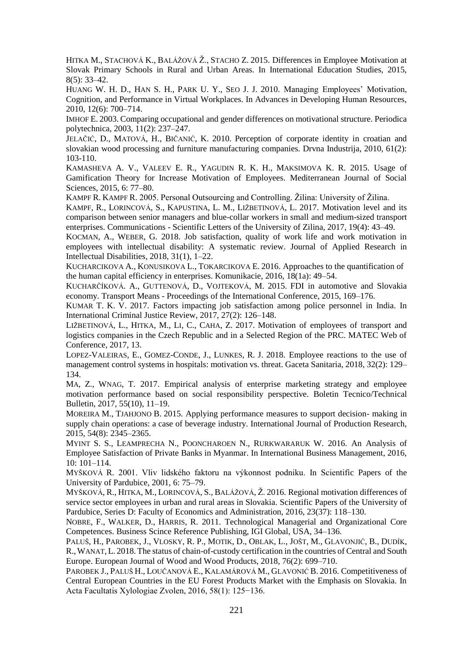HITKA M., STACHOVÁ K., BALÁŽOVÁ Ž., STACHO Z. 2015. Differences in Employee Motivation at Slovak Primary Schools in Rural and Urban Areas. In International Education Studies, 2015, 8(5): 33–42.

HUANG W. H. D., HAN S. H., PARK U. Y., SEO J. J. 2010. Managing Employees' Motivation, Cognition, and Performance in Virtual Workplaces. In Advances in Developing Human Resources, 2010, 12(6): 700–714.

IMHOF E. 2003. Comparing occupational and gender differences on motivational structure. Periodica polytechnica, 2003, 11(2): 237–247.

J[ELAČIĆ](https://www.scopus.com/authid/detail.uri?authorId=6508088395&eid=2-s2.0-77954632709), D., M[ATOVÁ](https://www.scopus.com/authid/detail.uri?authorId=36172289700&eid=2-s2.0-77954632709), H., B[IČANIĆ](https://www.scopus.com/authid/detail.uri?authorId=35335887200&eid=2-s2.0-77954632709), K. 2010. Perception of corporate identity in croatian and slovakian wood processing and furniture manufacturing companies. Drvna Industrija, 2010, 61(2): 103-110.

KAMASHEVA A. V., VALEEV E. R., YAGUDIN R. K. H., MAKSIMOVA K. R. 2015. Usage of Gamification Theory for Increase Motivation of Employees. Mediterranean Journal of Social Sciences, 2015, 6: 77–80.

KAMPF R. KAMPF R. 2005. Personal Outsourcing and Controlling. Žilina: University of Žilina.

KAMPF, R., LORINCOVÁ, S., KAPUSTINA, L. M., LIŽBETINOVÁ, L. 2017. Motivation level and its comparison between senior managers and blue-collar workers in small and medium-sized transport enterprises. Communications - Scientific Letters of the University of Zilina, 2017, 19(4): 43–49.

KOCMAN, A., WEBER, G. 2018. Job satisfaction, quality of work life and work motivation in employees with intellectual disability: A systematic review. [Journal of Applied Research in](https://www.scopus.com/sourceid/16247?origin=resultslist)  [Intellectual Disabilities,](https://www.scopus.com/sourceid/16247?origin=resultslist) 2018, 31(1), 1–22.

KUCHARCIKOVA A., KONUSIKOVA L., TOKARCIKOVA E. 2016. Approaches to the quantification of the human capital efficiency in enterprises. Komunikacie, 2016, 18(1a): 49–54.

KUCHARČÍKOVÁ. A., GUTTENOVÁ, D., VOJTEKOVÁ, M. 2015. FDI in automotive and Slovakia economy. Transport Means - Proceedings of the International Conference, 2015, 169–176.

KUMAR T. K. V. 2017. Factors impacting job satisfaction among police personnel in India. In International Criminal Justice Review, 2017, 27(2): 126–148.

LIŽBETINOVÁ, L., HITKA, M., LI, C., CAHA, Z. 2017. Motivation of employees of transport and logistics companies in the Czech Republic and in a Selected Region of the PRC. MATEC Web of Conference, 2017, 13.

LOPEZ-VALEIRAS, E., GOMEZ-CONDE, J., LUNKES, R. J. 2018. Employee reactions to the use of management control systems in hospitals: motivation vs. threat. Gaceta Sanitaria, 2018, 32(2): 129– 134.

MA, Z., WNAG, T. 2017. Empirical analysis of enterprise marketing strategy and employee motivation performance based on social responsibility perspective. Boletin Tecnico/Technical Bulletin, 2017, 55(10), 11–19.

MOREIRA M., TJAHJONO B. 2015. Applying performance measures to support decision- making in supply chain operations: a case of beverage industry. International Journal of Production Research, 2015, 54(8): 2345–2365.

MYINT S. S., LEAMPRECHA N., POONCHAROEN N., RURKWARARUK W. 2016. An Analysis of Employee Satisfaction of Private Banks in Myanmar. In International Business Management, 2016, 10: 101–114.

MYŠKOVÁ R. 2001. Vliv lidského faktoru na výkonnost podniku. In Scientific Papers of the University of Pardubice, 2001, 6: 75–79.

M[YŠKOVÁ](https://www.scopus.com/authid/detail.uri?authorId=29467621200&eid=2-s2.0-84988484807), R., H[ITKA](https://www.scopus.com/authid/detail.uri?authorId=16204917700&eid=2-s2.0-84988484807), M., L[ORINCOVÁ](https://www.scopus.com/authid/detail.uri?authorId=56716495100&eid=2-s2.0-84988484807), S., B[ALÁŽOVÁ](https://www.scopus.com/authid/detail.uri?authorId=56095307500&eid=2-s2.0-84988484807), Ž. 2016. Regional motivation differences of service sector employees in urban and rural areas in Slovakia. Scientific Papers of the University of Pardubice, Series D: Faculty of Economics and Administration, 2016, 23(37): 118–130.

NOBRE, F., WALKER, D., HARRIS, R. 2011. Technological Managerial and Organizational Core Competences. Business Scince Reference Publishing, IGI Global, USA, 34–136.

PALUŠ, H., PAROBEK, J., VLOSKY, R. P., MOTIK, D., OBLAK, L., JOŠT, M., GLAVONJIĆ, B., DUDÍK, R.,WANAT,L. 2018. The status of chain-of-custody certification in the countries of Central and South Europe. European Journal of Wood and Wood Products, 2018, 76(2): 699–710.

PAROBEK J., PALUŠ H., LOUČANOVÁ E., KALAMÁROVÁ M., GLAVONIĆ B. 2016. Competitiveness of Central European Countries in the EU Forest Products Market with the Emphasis on Slovakia. In Acta Facultatis Xylologiae Zvolen, 2016, 58(1): 125−136.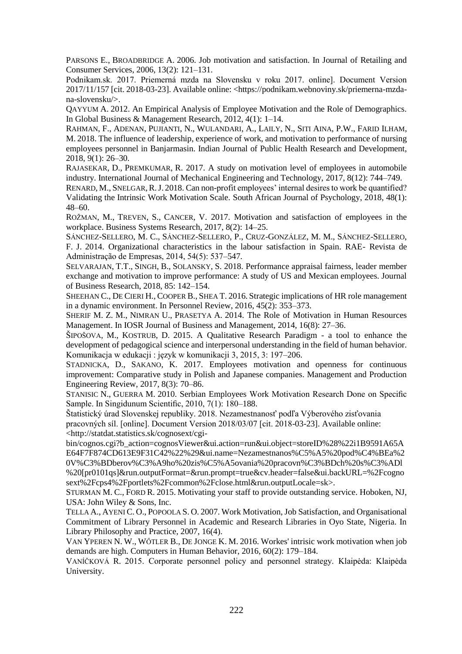PARSONS E., BROADBRIDGE A. 2006. Job motivation and satisfaction. In Journal of Retailing and Consumer Services, 2006, 13(2): 121–131.

Podnikam.sk. 2017. Priemerná mzda na Slovensku v roku 2017. online]. Document Version 2017/11/157 [cit. 2018-03-23]. Available online: [<https://podnikam.webnoviny.sk/priemerna-mzda](https://podnikam.webnoviny.sk/priemerna-mzda-na-slovensku/)[na-slovensku/>](https://podnikam.webnoviny.sk/priemerna-mzda-na-slovensku/).

QAYYUM A. 2012. An Empirical Analysis of Employee Motivation and the Role of Demographics. In Global Business & Management Research, 2012, 4(1): 1–14.

RAHMAN, F., ADENAN, PUJIANTI, N., WULANDARI, A., LAILY, N., SITI AINA, P.W., FARID ILHAM, M. 2018. The influence of leadership, experience of work, and motivation to performance of nursing employees personnel in Banjarmasin. Indian Journal of Public Health Research and Development, 2018, 9(1): 26–30.

RAJASEKAR, D., PREMKUMAR, R. 2017. A study on motivation level of employees in automobile industry. International Journal of Mechanical Engineering and Technology, 2017, 8(12): 744–749.

RENARD, M., SNELGAR,R.J. 2018. Can non-profit employees' internal desires to work be quantified? Validating the Intrinsic Work Motivation Scale. [South African Journal of Psychology,](https://www.scopus.com/sourceid/15270?origin=resultslist) 2018, 48(1): 48–60.

ROŽMAN, M., TREVEN, S., CANCER, V. 2017. Motivation and satisfaction of employees in the workplace. Business Systems Research, 2017, 8(2): 14–25.

SÁNCHEZ-SELLERO, M. C., SÁNCHEZ-SELLERO, P., CRUZ-GONZÁLEZ, M. M., SÁNCHEZ-SELLERO, F. J. 2014. Organizational characteristics in the labour satisfaction in Spain. RAE- Revista de Administração de Empresas, 2014, 54(5): 537–547.

SELVARAJAN, T.T., SINGH, B., SOLANSKY, S. 2018. Performance appraisal fairness, leader member exchange and motivation to improve performance: A study of US and Mexican employees. Journal of Business Research, 2018, 85: 142–154.

SHEEHAN C., DE CIERI H., COOPER B., SHEA T. 2016. Strategic implications of HR role management in a dynamic environment. In Personnel Review, 2016, 45(2): 353–373.

SHERIF M. Z. M., NIMRAN U., PRASETYA A. 2014. The Role of Motivation in Human Resources Management. In IOSR Journal of Business and Management, 2014, 16(8): 27–36.

ŠIPOŠOVA, M., KOSTRUB, D. 2015. A Qualitative Research Paradigm - a tool to enhance the development of pedagogical science and interpersonal understanding in the field of human behavior. Komunikacja w edukacji : język w komunikacji 3, 2015, 3: 197–206.

STADNICKA, D., SAKANO, K. 2017. Employees motivation and openness for continuous improvement: Comparative study in Polish and Japanese companies. Management and Production Engineering Review, 2017, 8(3): 70–86.

STANISIC N., GUERRA M. 2010. Serbian Employees Work Motivation Research Done on Specific Sample. In Singidunum Scientific, 2010, 7(1): 180–188.

Štatistický úrad Slovenskej republiky. 2018. Nezamestnanosť podľa Výberového zisťovania pracovných síl. [online]. Document Version 2018/03/07 [cit. 2018-03-23]. Available online: [<http://statdat.statistics.sk/cognosext/cgi-](http://statdat.statistics.sk/cognosext/cgi-bin/cognos.cgi?b_action=cognosViewer&ui.action=run&ui.object=storeID%28%22i1B9591A65AE64F7F874CD613E9F31C42%22%29&ui.name=Nezamestnanos%C5%A5%20pod%C4%BEa%20V%C3%BDberov%C3%A9ho%20zis%C5%A5ovania%20pracovn%C3%BDch%20s%C3%ADl%20%5bpr0101qs%5d&run.outputFormat=&run.prompt=true&cv.header=false&ui.backURL=%2Fcognosext%2Fcps4%2Fportlets%2Fcommon%2Fclose.html&run.outputLocale=sk)

[bin/cognos.cgi?b\\_action=cognosViewer&ui.action=run&ui.object=storeID%28%22i1B9591A65A](http://statdat.statistics.sk/cognosext/cgi-bin/cognos.cgi?b_action=cognosViewer&ui.action=run&ui.object=storeID%28%22i1B9591A65AE64F7F874CD613E9F31C42%22%29&ui.name=Nezamestnanos%C5%A5%20pod%C4%BEa%20V%C3%BDberov%C3%A9ho%20zis%C5%A5ovania%20pracovn%C3%BDch%20s%C3%ADl%20%5bpr0101qs%5d&run.outputFormat=&run.prompt=true&cv.header=false&ui.backURL=%2Fcognosext%2Fcps4%2Fportlets%2Fcommon%2Fclose.html&run.outputLocale=sk) [E64F7F874CD613E9F31C42%22%29&ui.name=Nezamestnanos%C5%A5%20pod%C4%BEa%2](http://statdat.statistics.sk/cognosext/cgi-bin/cognos.cgi?b_action=cognosViewer&ui.action=run&ui.object=storeID%28%22i1B9591A65AE64F7F874CD613E9F31C42%22%29&ui.name=Nezamestnanos%C5%A5%20pod%C4%BEa%20V%C3%BDberov%C3%A9ho%20zis%C5%A5ovania%20pracovn%C3%BDch%20s%C3%ADl%20%5bpr0101qs%5d&run.outputFormat=&run.prompt=true&cv.header=false&ui.backURL=%2Fcognosext%2Fcps4%2Fportlets%2Fcommon%2Fclose.html&run.outputLocale=sk) [0V%C3%BDberov%C3%A9ho%20zis%C5%A5ovania%20pracovn%C3%BDch%20s%C3%ADl](http://statdat.statistics.sk/cognosext/cgi-bin/cognos.cgi?b_action=cognosViewer&ui.action=run&ui.object=storeID%28%22i1B9591A65AE64F7F874CD613E9F31C42%22%29&ui.name=Nezamestnanos%C5%A5%20pod%C4%BEa%20V%C3%BDberov%C3%A9ho%20zis%C5%A5ovania%20pracovn%C3%BDch%20s%C3%ADl%20%5bpr0101qs%5d&run.outputFormat=&run.prompt=true&cv.header=false&ui.backURL=%2Fcognosext%2Fcps4%2Fportlets%2Fcommon%2Fclose.html&run.outputLocale=sk) [%20\[pr0101qs\]&run.outputFormat=&run.prompt=true&cv.header=false&ui.backURL=%2Fcogno](http://statdat.statistics.sk/cognosext/cgi-bin/cognos.cgi?b_action=cognosViewer&ui.action=run&ui.object=storeID%28%22i1B9591A65AE64F7F874CD613E9F31C42%22%29&ui.name=Nezamestnanos%C5%A5%20pod%C4%BEa%20V%C3%BDberov%C3%A9ho%20zis%C5%A5ovania%20pracovn%C3%BDch%20s%C3%ADl%20%5bpr0101qs%5d&run.outputFormat=&run.prompt=true&cv.header=false&ui.backURL=%2Fcognosext%2Fcps4%2Fportlets%2Fcommon%2Fclose.html&run.outputLocale=sk) [sext%2Fcps4%2Fportlets%2Fcommon%2Fclose.html&run.outputLocale=sk>](http://statdat.statistics.sk/cognosext/cgi-bin/cognos.cgi?b_action=cognosViewer&ui.action=run&ui.object=storeID%28%22i1B9591A65AE64F7F874CD613E9F31C42%22%29&ui.name=Nezamestnanos%C5%A5%20pod%C4%BEa%20V%C3%BDberov%C3%A9ho%20zis%C5%A5ovania%20pracovn%C3%BDch%20s%C3%ADl%20%5bpr0101qs%5d&run.outputFormat=&run.prompt=true&cv.header=false&ui.backURL=%2Fcognosext%2Fcps4%2Fportlets%2Fcommon%2Fclose.html&run.outputLocale=sk).

STURMAN M. C., FORD R. 2015. Motivating your staff to provide outstanding service. Hoboken, NJ, USA: John Wiley & Sons, Inc.

TELLA A., AYENI C. O., POPOOLA S. O. 2007. Work Motivation, Job Satisfaction, and Organisational Commitment of Library Personnel in Academic and Research Libraries in Oyo State, Nigeria. In Library Philosophy and Practice, 2007, 16(4).

VAN YPEREN N. W., WŐTLER B., DE JONGE K. M. 2016. Workes' intrisic work motivation when job demands are high. Computers in Human Behavior, 2016, 60(2): 179–184.

VANÍČKOVÁ R. 2015. Corporate personnel policy and personnel strategy. Klaipėda: Klaipėda University.